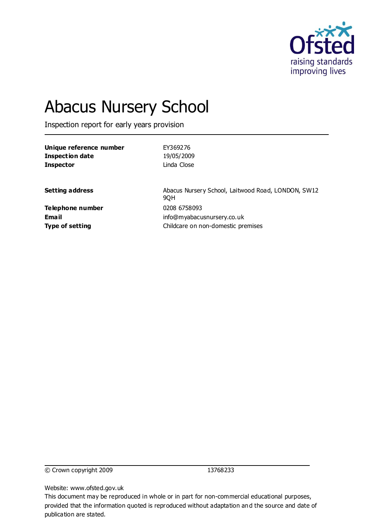

# Abacus Nursery School

Inspection report for early years provision

| Unique reference number | EY369276                                                  |
|-------------------------|-----------------------------------------------------------|
| <b>Inspection date</b>  | 19/05/2009                                                |
| <b>Inspector</b>        | Linda Close                                               |
| <b>Setting address</b>  | Abacus Nursery School, Laitwood Road, LONDON, SW12<br>9QH |
| Telephone number        | 0208 6758093                                              |
| <b>Email</b>            | info@myabacusnursery.co.uk                                |
| <b>Type of setting</b>  | Childcare on non-domestic premises                        |

© Crown copyright 2009 13768233

Website: www.ofsted.gov.uk

This document may be reproduced in whole or in part for non-commercial educational purposes, provided that the information quoted is reproduced without adaptation and the source and date of publication are stated.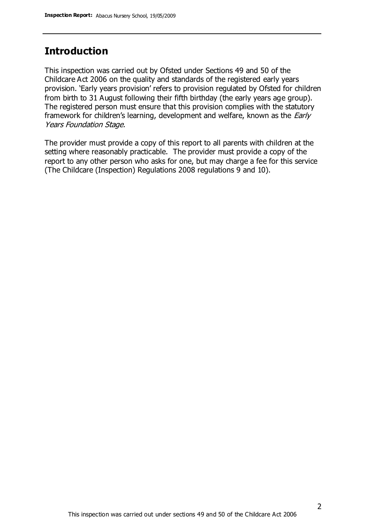# **Introduction**

This inspection was carried out by Ofsted under Sections 49 and 50 of the Childcare Act 2006 on the quality and standards of the registered early years provision. 'Early years provision' refers to provision regulated by Ofsted for children from birth to 31 August following their fifth birthday (the early years age group). The registered person must ensure that this provision complies with the statutory framework for children's learning, development and welfare, known as the *Early* Years Foundation Stage.

The provider must provide a copy of this report to all parents with children at the setting where reasonably practicable. The provider must provide a copy of the report to any other person who asks for one, but may charge a fee for this service (The Childcare (Inspection) Regulations 2008 regulations 9 and 10).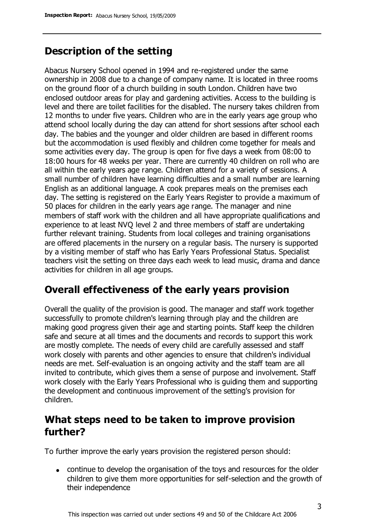# **Description of the setting**

Abacus Nursery School opened in 1994 and re-registered under the same ownership in 2008 due to a change of company name. It is located in three rooms on the ground floor of a church building in south London. Children have two enclosed outdoor areas for play and gardening activities. Access to the building is level and there are toilet facilities for the disabled. The nursery takes children from 12 months to under five years. Children who are in the early years age group who attend school locally during the day can attend for short sessions after school each day. The babies and the younger and older children are based in different rooms but the accommodation is used flexibly and children come together for meals and some activities every day. The group is open for five days a week from 08:00 to 18:00 hours for 48 weeks per year. There are currently 40 children on roll who are all within the early years age range. Children attend for a variety of sessions. A small number of children have learning difficulties and a small number are learning English as an additional language. A cook prepares meals on the premises each day. The setting is registered on the Early Years Register to provide a maximum of 50 places for children in the early years age range. The manager and nine members of staff work with the children and all have appropriate qualifications and experience to at least NVQ level 2 and three members of staff are undertaking further relevant training. Students from local colleges and training organisations are offered placements in the nursery on a regular basis. The nursery is supported by a visiting member of staff who has Early Years Professional Status. Specialist teachers visit the setting on three days each week to lead music, drama and dance activities for children in all age groups.

## **Overall effectiveness of the early years provision**

Overall the quality of the provision is good. The manager and staff work together successfully to promote children's learning through play and the children are making good progress given their age and starting points. Staff keep the children safe and secure at all times and the documents and records to support this work are mostly complete. The needs of every child are carefully assessed and staff work closely with parents and other agencies to ensure that children's individual needs are met. Self-evaluation is an ongoing activity and the staff team are all invited to contribute, which gives them a sense of purpose and involvement. Staff work closely with the Early Years Professional who is guiding them and supporting the development and continuous improvement of the setting's provision for children.

# **What steps need to be taken to improve provision further?**

To further improve the early years provision the registered person should:

continue to develop the organisation of the toys and resources for the older children to give them more opportunities for self-selection and the growth of their independence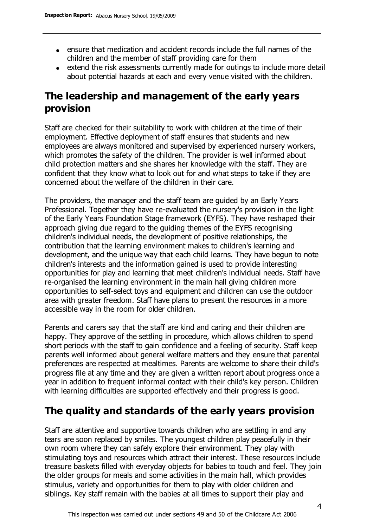- ensure that medication and accident records include the full names of the children and the member of staff providing care for them
- extend the risk assessments currently made for outings to include more detail about potential hazards at each and every venue visited with the children.

# **The leadership and management of the early years provision**

Staff are checked for their suitability to work with children at the time of their employment. Effective deployment of staff ensures that students and new employees are always monitored and supervised by experienced nursery workers, which promotes the safety of the children. The provider is well informed about child protection matters and she shares her knowledge with the staff. They are confident that they know what to look out for and what steps to take if they are concerned about the welfare of the children in their care.

The providers, the manager and the staff team are guided by an Early Years Professional. Together they have re-evaluated the nursery's provision in the light of the Early Years Foundation Stage framework (EYFS). They have reshaped their approach giving due regard to the guiding themes of the EYFS recognising children's individual needs, the development of positive relationships, the contribution that the learning environment makes to children's learning and development, and the unique way that each child learns. They have begun to note children's interests and the information gained is used to provide interesting opportunities for play and learning that meet children's individual needs. Staff have re-organised the learning environment in the main hall giving children more opportunities to self-select toys and equipment and children can use the outdoor area with greater freedom. Staff have plans to present the resources in a more accessible way in the room for older children.

Parents and carers say that the staff are kind and caring and their children are happy. They approve of the settling in procedure, which allows children to spend short periods with the staff to gain confidence and a feeling of security. Staff keep parents well informed about general welfare matters and they ensure that parental preferences are respected at mealtimes. Parents are welcome to share their child's progress file at any time and they are given a written report about progress once a year in addition to frequent informal contact with their child's key person. Children with learning difficulties are supported effectively and their progress is good.

# **The quality and standards of the early years provision**

Staff are attentive and supportive towards children who are settling in and any tears are soon replaced by smiles. The youngest children play peacefully in their own room where they can safely explore their environment. They play with stimulating toys and resources which attract their interest. These resources include treasure baskets filled with everyday objects for babies to touch and feel. They join the older groups for meals and some activities in the main hall, which provides stimulus, variety and opportunities for them to play with older children and siblings. Key staff remain with the babies at all times to support their play and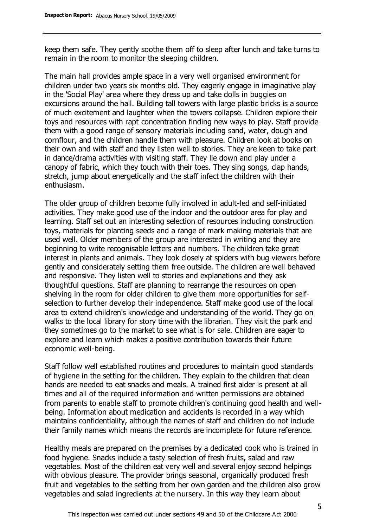keep them safe. They gently soothe them off to sleep after lunch and take turns to remain in the room to monitor the sleeping children.

The main hall provides ample space in a very well organised environment for children under two years six months old. They eagerly engage in imaginative play in the 'Social Play' area where they dress up and take dolls in buggies on excursions around the hall. Building tall towers with large plastic bricks is a source of much excitement and laughter when the towers collapse. Children explore their toys and resources with rapt concentration finding new ways to play. Staff provide them with a good range of sensory materials including sand, water, dough and cornflour, and the children handle them with pleasure. Children look at books on their own and with staff and they listen well to stories. They are keen to take part in dance/drama activities with visiting staff. They lie down and play under a canopy of fabric, which they touch with their toes. They sing songs, clap hands, stretch, jump about energetically and the staff infect the children with their enthusiasm.

The older group of children become fully involved in adult-led and self-initiated activities. They make good use of the indoor and the outdoor area for play and learning. Staff set out an interesting selection of resources including construction toys, materials for planting seeds and a range of mark making materials that are used well. Older members of the group are interested in writing and they are beginning to write recognisable letters and numbers. The children take great interest in plants and animals. They look closely at spiders with bug viewers before gently and considerately setting them free outside. The children are well behaved and responsive. They listen well to stories and explanations and they ask thoughtful questions. Staff are planning to rearrange the resources on open shelving in the room for older children to give them more opportunities for selfselection to further develop their independence. Staff make good use of the local area to extend children's knowledge and understanding of the world. They go on walks to the local library for story time with the librarian. They visit the park and they sometimes go to the market to see what is for sale. Children are eager to explore and learn which makes a positive contribution towards their future economic well-being.

Staff follow well established routines and procedures to maintain good standards of hygiene in the setting for the children. They explain to the children that clean hands are needed to eat snacks and meals. A trained first aider is present at all times and all of the required information and written permissions are obtained from parents to enable staff to promote children's continuing good health and wellbeing. Information about medication and accidents is recorded in a way which maintains confidentiality, although the names of staff and children do not include their family names which means the records are incomplete for future reference.

Healthy meals are prepared on the premises by a dedicated cook who is trained in food hygiene. Snacks include a tasty selection of fresh fruits, salad and raw vegetables. Most of the children eat very well and several enjoy second helpings with obvious pleasure. The provider brings seasonal, organically produced fresh fruit and vegetables to the setting from her own garden and the children also grow vegetables and salad ingredients at the nursery. In this way they learn about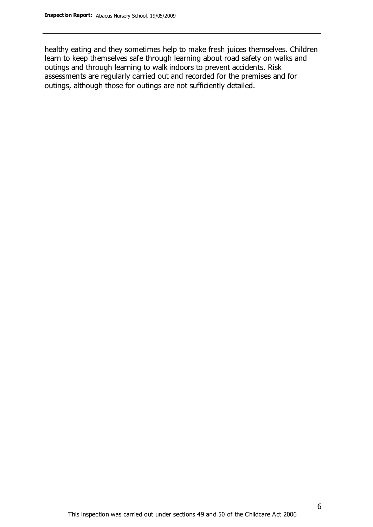healthy eating and they sometimes help to make fresh juices themselves. Children learn to keep themselves safe through learning about road safety on walks and outings and through learning to walk indoors to prevent accidents. Risk assessments are regularly carried out and recorded for the premises and for outings, although those for outings are not sufficiently detailed.